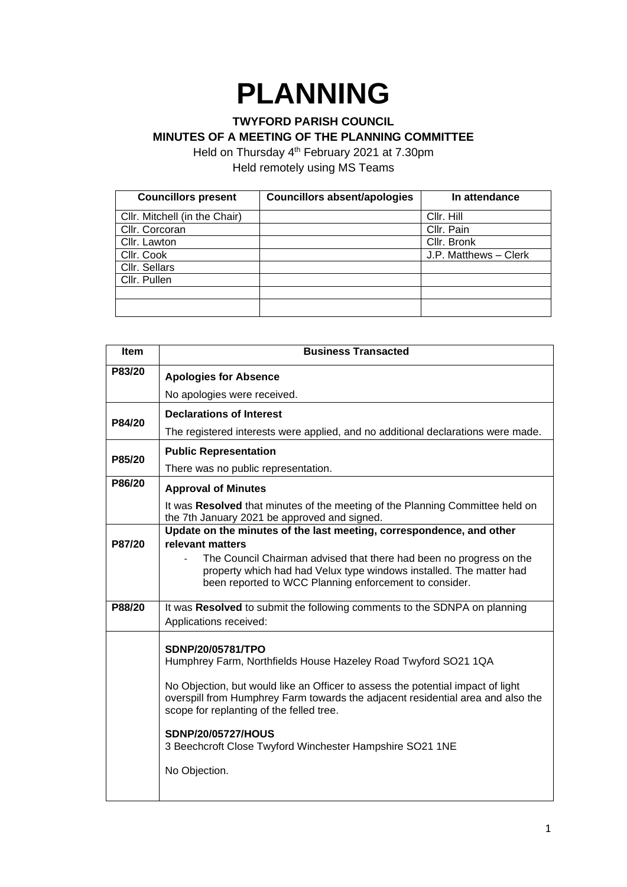## **PLANNING**

## **TWYFORD PARISH COUNCIL MINUTES OF A MEETING OF THE PLANNING COMMITTEE**

Held on Thursday 4<sup>th</sup> February 2021 at 7.30pm Held remotely using MS Teams

| <b>Councillors present</b>    | <b>Councillors absent/apologies</b> | In attendance         |
|-------------------------------|-------------------------------------|-----------------------|
| Cllr. Mitchell (in the Chair) |                                     | Cllr. Hill            |
| Cllr. Corcoran                |                                     | Cllr. Pain            |
| Cllr. Lawton                  |                                     | Cllr. Bronk           |
| Cllr. Cook                    |                                     | J.P. Matthews - Clerk |
| Cllr. Sellars                 |                                     |                       |
| Cllr. Pullen                  |                                     |                       |
|                               |                                     |                       |
|                               |                                     |                       |

| <b>Item</b> | <b>Business Transacted</b>                                                                                                                                                                                     |  |
|-------------|----------------------------------------------------------------------------------------------------------------------------------------------------------------------------------------------------------------|--|
| P83/20      | <b>Apologies for Absence</b>                                                                                                                                                                                   |  |
|             | No apologies were received.                                                                                                                                                                                    |  |
| P84/20      | <b>Declarations of Interest</b>                                                                                                                                                                                |  |
|             | The registered interests were applied, and no additional declarations were made.                                                                                                                               |  |
| P85/20      | <b>Public Representation</b>                                                                                                                                                                                   |  |
|             | There was no public representation.                                                                                                                                                                            |  |
| P86/20      | <b>Approval of Minutes</b>                                                                                                                                                                                     |  |
|             | It was Resolved that minutes of the meeting of the Planning Committee held on<br>the 7th January 2021 be approved and signed.                                                                                  |  |
|             | Update on the minutes of the last meeting, correspondence, and other                                                                                                                                           |  |
| P87/20      | relevant matters<br>The Council Chairman advised that there had been no progress on the                                                                                                                        |  |
|             | property which had had Velux type windows installed. The matter had<br>been reported to WCC Planning enforcement to consider.                                                                                  |  |
| P88/20      | It was Resolved to submit the following comments to the SDNPA on planning                                                                                                                                      |  |
|             | Applications received:                                                                                                                                                                                         |  |
|             | SDNP/20/05781/TPO                                                                                                                                                                                              |  |
|             | Humphrey Farm, Northfields House Hazeley Road Twyford SO21 1QA                                                                                                                                                 |  |
|             | No Objection, but would like an Officer to assess the potential impact of light<br>overspill from Humphrey Farm towards the adjacent residential area and also the<br>scope for replanting of the felled tree. |  |
|             | <b>SDNP/20/05727/HOUS</b><br>3 Beechcroft Close Twyford Winchester Hampshire SO21 1NE                                                                                                                          |  |
|             | No Objection.                                                                                                                                                                                                  |  |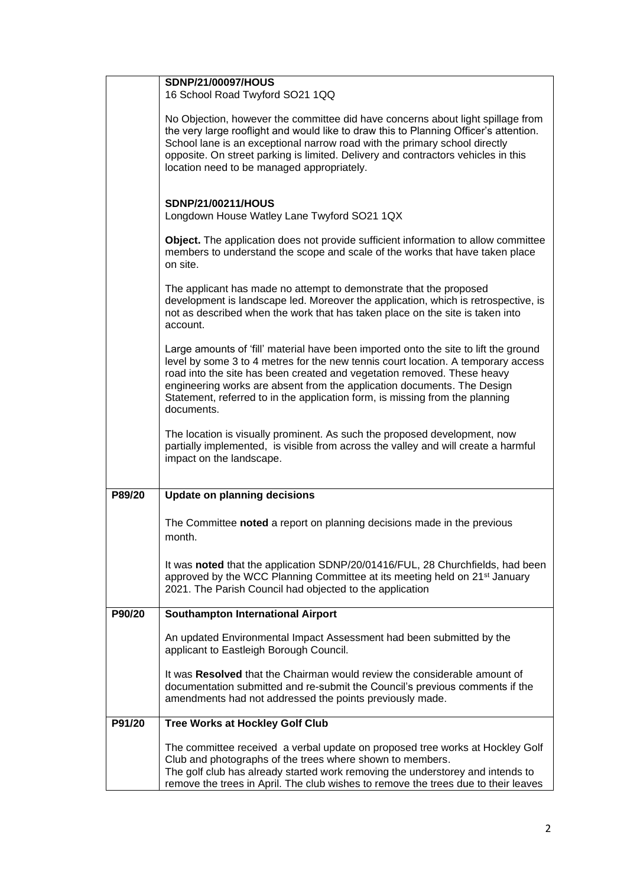|        | <b>SDNP/21/00097/HOUS</b>                                                                                                                                                                                                                                                                                                                                                                                                     |
|--------|-------------------------------------------------------------------------------------------------------------------------------------------------------------------------------------------------------------------------------------------------------------------------------------------------------------------------------------------------------------------------------------------------------------------------------|
|        | 16 School Road Twyford SO21 1QQ                                                                                                                                                                                                                                                                                                                                                                                               |
|        | No Objection, however the committee did have concerns about light spillage from<br>the very large rooflight and would like to draw this to Planning Officer's attention.<br>School lane is an exceptional narrow road with the primary school directly<br>opposite. On street parking is limited. Delivery and contractors vehicles in this<br>location need to be managed appropriately.                                     |
|        | <b>SDNP/21/00211/HOUS</b><br>Longdown House Watley Lane Twyford SO21 1QX                                                                                                                                                                                                                                                                                                                                                      |
|        | Object. The application does not provide sufficient information to allow committee<br>members to understand the scope and scale of the works that have taken place<br>on site.                                                                                                                                                                                                                                                |
|        | The applicant has made no attempt to demonstrate that the proposed<br>development is landscape led. Moreover the application, which is retrospective, is<br>not as described when the work that has taken place on the site is taken into<br>account.                                                                                                                                                                         |
|        | Large amounts of 'fill' material have been imported onto the site to lift the ground<br>level by some 3 to 4 metres for the new tennis court location. A temporary access<br>road into the site has been created and vegetation removed. These heavy<br>engineering works are absent from the application documents. The Design<br>Statement, referred to in the application form, is missing from the planning<br>documents. |
|        | The location is visually prominent. As such the proposed development, now<br>partially implemented, is visible from across the valley and will create a harmful<br>impact on the landscape.                                                                                                                                                                                                                                   |
| P89/20 | <b>Update on planning decisions</b>                                                                                                                                                                                                                                                                                                                                                                                           |
|        | The Committee noted a report on planning decisions made in the previous<br>month.                                                                                                                                                                                                                                                                                                                                             |
|        | It was noted that the application SDNP/20/01416/FUL, 28 Churchfields, had been<br>approved by the WCC Planning Committee at its meeting held on 21 <sup>st</sup> January<br>2021. The Parish Council had objected to the application                                                                                                                                                                                          |
| P90/20 | <b>Southampton International Airport</b>                                                                                                                                                                                                                                                                                                                                                                                      |
|        | An updated Environmental Impact Assessment had been submitted by the<br>applicant to Eastleigh Borough Council.                                                                                                                                                                                                                                                                                                               |
|        | It was Resolved that the Chairman would review the considerable amount of<br>documentation submitted and re-submit the Council's previous comments if the<br>amendments had not addressed the points previously made.                                                                                                                                                                                                         |
| P91/20 | <b>Tree Works at Hockley Golf Club</b>                                                                                                                                                                                                                                                                                                                                                                                        |
|        | The committee received a verbal update on proposed tree works at Hockley Golf<br>Club and photographs of the trees where shown to members.<br>The golf club has already started work removing the understorey and intends to<br>remove the trees in April. The club wishes to remove the trees due to their leaves                                                                                                            |
|        |                                                                                                                                                                                                                                                                                                                                                                                                                               |